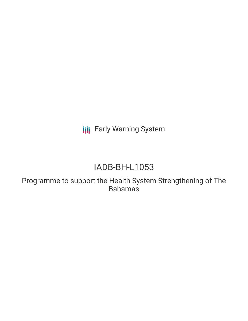**III** Early Warning System

# IADB-BH-L1053

Programme to support the Health System Strengthening of The Bahamas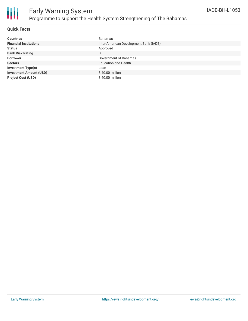

#### **Quick Facts**

| <b>Countries</b>               | Bahamas                                |
|--------------------------------|----------------------------------------|
| <b>Financial Institutions</b>  | Inter-American Development Bank (IADB) |
| <b>Status</b>                  | Approved                               |
| <b>Bank Risk Rating</b>        | B                                      |
| <b>Borrower</b>                | Government of Bahamas                  |
| <b>Sectors</b>                 | <b>Education and Health</b>            |
| <b>Investment Type(s)</b>      | Loan                                   |
| <b>Investment Amount (USD)</b> | $$40.00$ million                       |
| <b>Project Cost (USD)</b>      | \$40.00 million                        |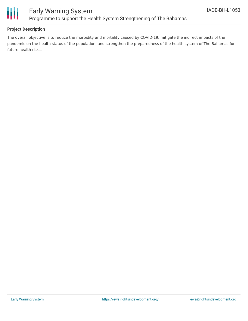

#### **Project Description**

The overall objective is to reduce the morbidity and mortality caused by COVID-19, mitigate the indirect impacts of the pandemic on the health status of the population, and strengthen the preparedness of the health system of The Bahamas for future health risks.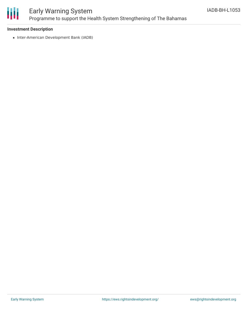

### Early Warning System Programme to support the Health System Strengthening of The Bahamas

#### **Investment Description**

• Inter-American Development Bank (IADB)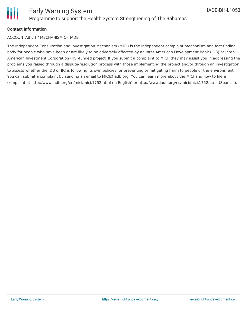

#### **Contact Information**

#### ACCOUNTABILITY MECHANISM OF IADB

The Independent Consultation and Investigation Mechanism (MICI) is the independent complaint mechanism and fact-finding body for people who have been or are likely to be adversely affected by an Inter-American Development Bank (IDB) or Inter-American Investment Corporation (IIC)-funded project. If you submit a complaint to MICI, they may assist you in addressing the problems you raised through a dispute-resolution process with those implementing the project and/or through an investigation to assess whether the IDB or IIC is following its own policies for preventing or mitigating harm to people or the environment. You can submit a complaint by sending an email to MICI@iadb.org. You can learn more about the MICI and how to file a complaint at http://www.iadb.org/en/mici/mici,1752.html (in English) or http://www.iadb.org/es/mici/mici,1752.html (Spanish).